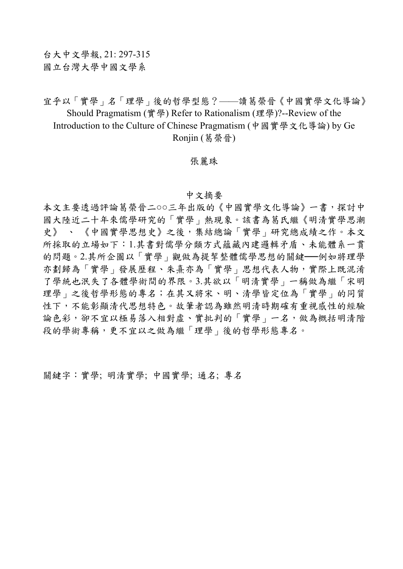宜乎以「實學」名「理學」後的哲學型態?——讀葛榮晉《中國實學文化導論》 Should Pragmatism (實學) Refer to Rationalism (理學)?--Review of the Introduction to the Culture of Chinese Pragmatism (中國實學文化導論) by Ge Ronjin (葛榮晉)

## 張麗珠

## 中文摘要

本文主要透過評論葛榮晉二○○三年出版的《中國實學文化導論》一書,探討中 國大陸近二十年來儒學研究的「實學」熱現象。該書為葛氏繼《明清實學思潮 史》、《中國實學思想史》之後,集結總論「實學」研究總成績之作。本文 所採取的立場如下:1.其書對儒學分類方式蘊藏內建邏輯矛盾、未能體系一貫 的問題。2.其所企圖以「實學」觀做為提挈整體儒學思想的關鍵──例如將理學 亦劃歸為「實學」發展歷程、朱熹亦為「實學」思想代表人物,實際上既混淆 了學統也泯失了各體學術間的界限。3.其欲以「明清實學」一稱做為繼「宋明 理學」之後哲學形態的專名;在其又將宋、明、清學皆定位為「實學」的同質 性下,不能彰顯清代思想特色。故筆者認為雖然明清時期確有重視感性的經驗 論色彩,卻不宜以極易落入相對虛、實批判的「實學」一名,做為概括明清階 段的學術專稱,更不宜以之做為繼「理學」後的哲學形態專名。

關鍵字:實學; 明清實學; 中國實學; 通名; 專名